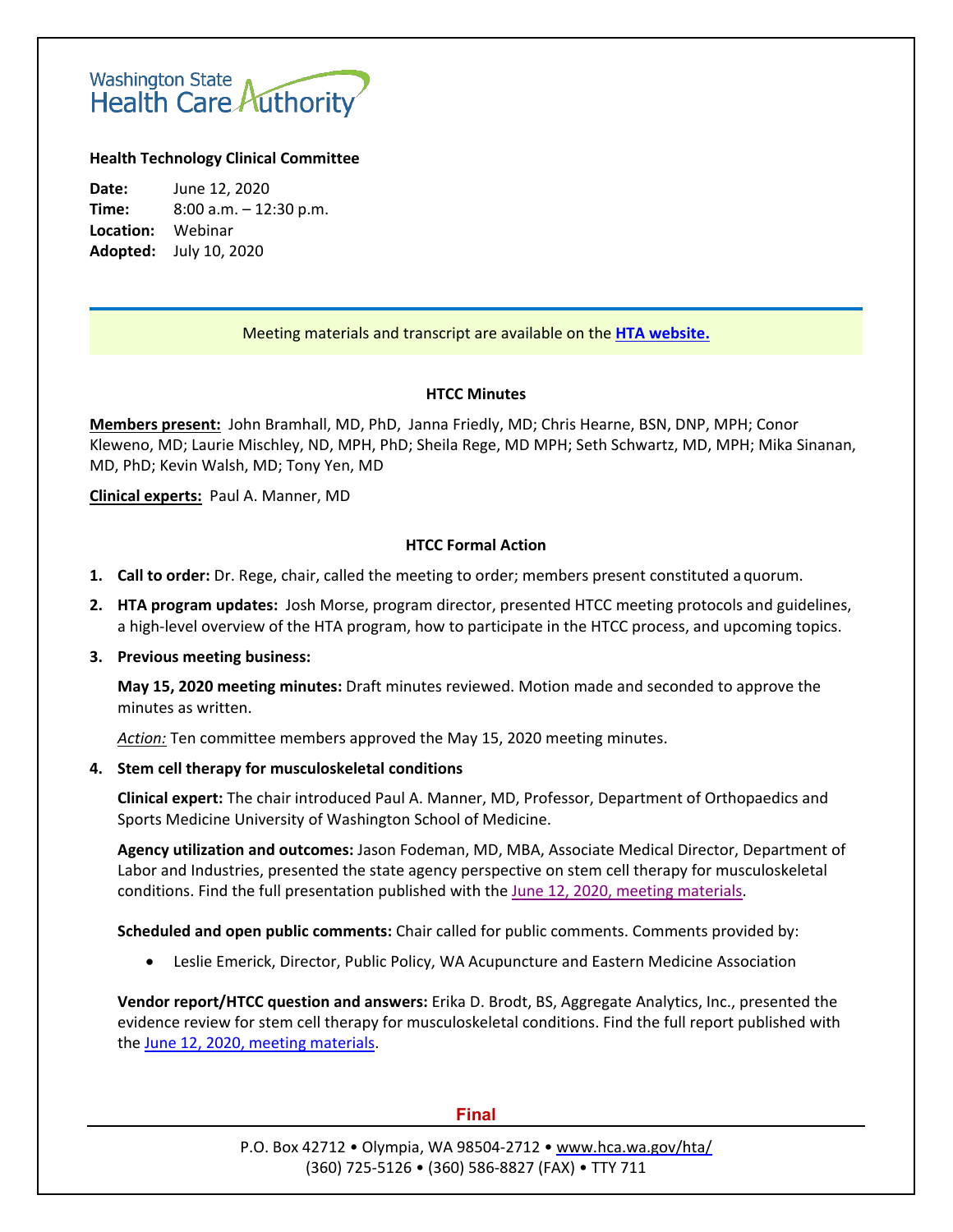# Washington State<br>Health Care Authority

# **Health Technology Clinical Committee**

**Date:** June 12, 2020 **Time:** 8:00 a.m. – 12:30 p.m. **Location:** Webinar **Adopted:** July 10, 2020

# Meeting materials and transcript are available on the **[HTA website.](http://www.hca.wa.gov/about-hca/health-technology-assessment/meetings-and-materials)**

## **HTCC Minutes**

**Members present:** John Bramhall, MD, PhD, Janna Friedly, MD; Chris Hearne, BSN, DNP, MPH; Conor Kleweno, MD; Laurie Mischley, ND, MPH, PhD; Sheila Rege, MD MPH; Seth Schwartz, MD, MPH; Mika Sinanan, MD, PhD; Kevin Walsh, MD; Tony Yen, MD

**Clinical experts:** Paul A. Manner, MD

## **HTCC Formal Action**

- **1. Call to order:** Dr. Rege, chair, called the meeting to order; members present constituted a quorum.
- **2. HTA program updates:** Josh Morse, program director, presented HTCC meeting protocols and guidelines, a high-level overview of the HTA program, how to participate in the HTCC process, and upcoming topics.

### **3. Previous meeting business:**

**May 15, 2020 meeting minutes:** Draft minutes reviewed. Motion made and seconded to approve the minutes as written.

*Action:* Ten committee members approved the May 15, 2020 meeting minutes.

### **4. Stem cell therapy for musculoskeletal conditions**

**Clinical expert:** The chair introduced Paul A. Manner, MD, Professor, Department of Orthopaedics and Sports Medicine University of Washington School of Medicine.

**Agency utilization and outcomes:** Jason Fodeman, MD, MBA, Associate Medical Director, Department of Labor and Industries, presented the state agency perspective on stem cell therapy for musculoskeletal conditions. Find the full presentation published with the [June 12, 2020, meeting materials.](https://www.hca.wa.gov/assets/program/3-htcc-materials-stem-cell-therapy-20200612.pdf)

**Scheduled and open public comments:** Chair called for public comments. Comments provided by:

• Leslie Emerick, Director, Public Policy, WA Acupuncture and Eastern Medicine Association

**Vendor report/HTCC question and answers:** Erika D. Brodt, BS, Aggregate Analytics, Inc., presented the evidence review for stem cell therapy for musculoskeletal conditions. Find the full report published with the [June 12, 2020, meeting materials.](https://www.hca.wa.gov/assets/program/3-htcc-materials-stem-cell-therapy-20200612.pdf)

### **Final**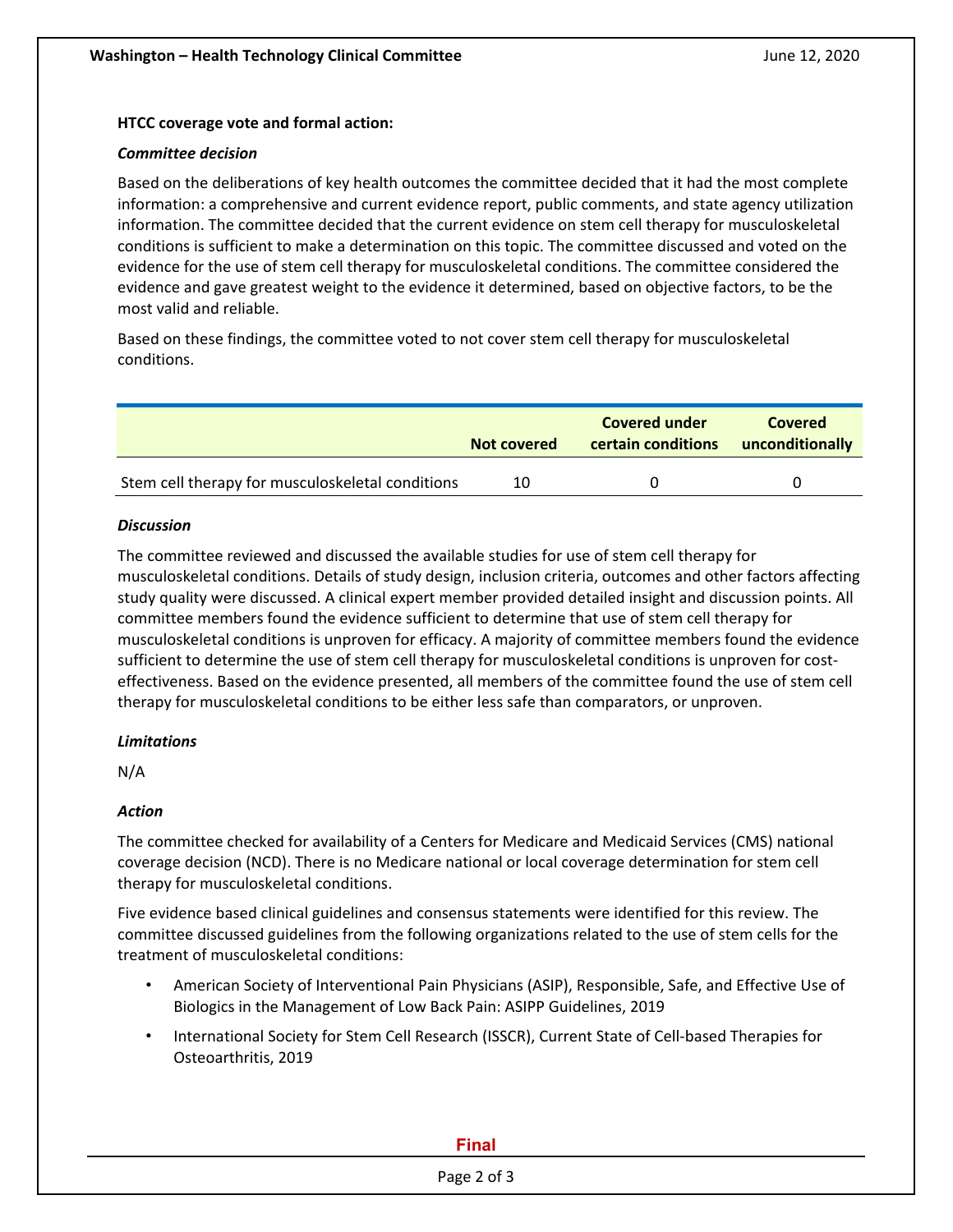## **HTCC coverage vote and formal action:**

### *Committee decision*

Based on the deliberations of key health outcomes the committee decided that it had the most complete information: a comprehensive and current evidence report, public comments, and state agency utilization information. The committee decided that the current evidence on stem cell therapy for musculoskeletal conditions is sufficient to make a determination on this topic. The committee discussed and voted on the evidence for the use of stem cell therapy for musculoskeletal conditions. The committee considered the evidence and gave greatest weight to the evidence it determined, based on objective factors, to be the most valid and reliable.

Based on these findings, the committee voted to not cover stem cell therapy for musculoskeletal conditions.

|                                                  | Not covered | Covered under<br>certain conditions | Covered<br>unconditionally |
|--------------------------------------------------|-------------|-------------------------------------|----------------------------|
| Stem cell therapy for musculoskeletal conditions | 10          |                                     |                            |

## *Discussion*

The committee reviewed and discussed the available studies for use of stem cell therapy for musculoskeletal conditions. Details of study design, inclusion criteria, outcomes and other factors affecting study quality were discussed. A clinical expert member provided detailed insight and discussion points. All committee members found the evidence sufficient to determine that use of stem cell therapy for musculoskeletal conditions is unproven for efficacy. A majority of committee members found the evidence sufficient to determine the use of stem cell therapy for musculoskeletal conditions is unproven for costeffectiveness. Based on the evidence presented, all members of the committee found the use of stem cell therapy for musculoskeletal conditions to be either less safe than comparators, or unproven.

# *Limitations*

N/A

# *Action*

The committee checked for availability of a Centers for Medicare and Medicaid Services (CMS) national coverage decision (NCD). There is no Medicare national or local coverage determination for stem cell therapy for musculoskeletal conditions.

Five evidence based clinical guidelines and consensus statements were identified for this review. The committee discussed guidelines from the following organizations related to the use of stem cells for the treatment of musculoskeletal conditions:

- American Society of Interventional Pain Physicians (ASIP), Responsible, Safe, and Effective Use of Biologics in the Management of Low Back Pain: ASIPP Guidelines, 2019
- International Society for Stem Cell Research (ISSCR), Current State of Cell-based Therapies for Osteoarthritis, 2019

### **Final**